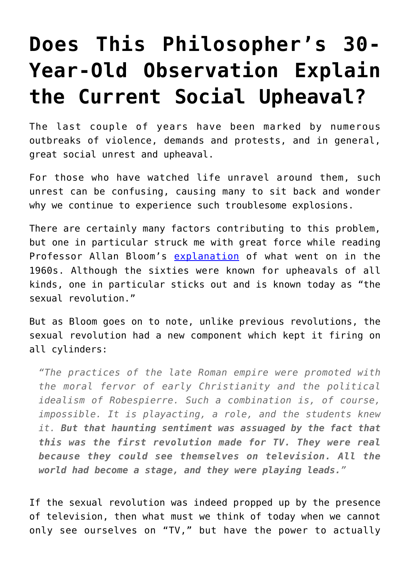## **[Does This Philosopher's 30-](https://intellectualtakeout.org/2017/01/does-this-philosophers-30-year-old-observation-explain-the-current-social-upheaval/) [Year-Old Observation Explain](https://intellectualtakeout.org/2017/01/does-this-philosophers-30-year-old-observation-explain-the-current-social-upheaval/) [the Current Social Upheaval?](https://intellectualtakeout.org/2017/01/does-this-philosophers-30-year-old-observation-explain-the-current-social-upheaval/)**

The last couple of years have been marked by numerous outbreaks of violence, demands and protests, and in general, great social unrest and upheaval.

For those who have watched life unravel around them, such unrest can be confusing, causing many to sit back and wonder why we continue to experience such troublesome explosions.

There are certainly many factors contributing to this problem, but one in particular struck me with great force while reading Professor Allan Bloom's [explanation](https://www.amazon.com/gp/product/1451683200/ref=as_li_qf_sp_asin_il_tl?ie=UTF8&tag=intelltakeo0d-20&camp=1789&creative=9325&linkCode=as2&creativeASIN=1451683200&linkId=235ee1fc4ba89ae4e23c0377758c3cce) of what went on in the 1960s. Although the sixties were known for upheavals of all kinds, one in particular sticks out and is known today as "the sexual revolution."

But as Bloom goes on to note, unlike previous revolutions, the sexual revolution had a new component which kept it firing on all cylinders:

*"The practices of the late Roman empire were promoted with the moral fervor of early Christianity and the political idealism of Robespierre. Such a combination is, of course, impossible. It is playacting, a role, and the students knew it. But that haunting sentiment was assuaged by the fact that this was the first revolution made for TV. They were real because they could see themselves on television. All the world had become a stage, and they were playing leads."*

If the sexual revolution was indeed propped up by the presence of television, then what must we think of today when we cannot only see ourselves on "TV," but have the power to actually